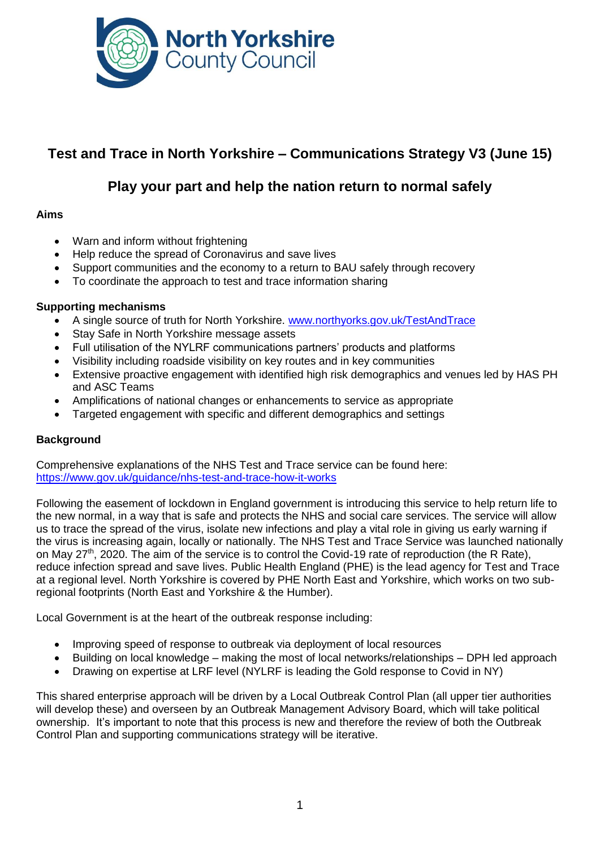

# **Test and Trace in North Yorkshire – Communications Strategy V3 (June 15)**

## **Play your part and help the nation return to normal safely**

## **Aims**

- Warn and inform without frightening
- Help reduce the spread of Coronavirus and save lives
- Support communities and the economy to a return to BAU safely through recovery
- To coordinate the approach to test and trace information sharing

## **Supporting mechanisms**

- A single source of truth for North Yorkshire. [www.northyorks.gov.uk/TestAndTrace](http://www.northyorks.gov.uk/TestAndTrace)
- Stay Safe in North Yorkshire message assets
- Full utilisation of the NYLRF communications partners' products and platforms
- Visibility including roadside visibility on key routes and in key communities
- Extensive proactive engagement with identified high risk demographics and venues led by HAS PH and ASC Teams
- Amplifications of national changes or enhancements to service as appropriate
- Targeted engagement with specific and different demographics and settings

## **Background**

Comprehensive explanations of the NHS Test and Trace service can be found here: <https://www.gov.uk/guidance/nhs-test-and-trace-how-it-works>

Following the easement of lockdown in England government is introducing this service to help return life to the new normal, in a way that is safe and protects the NHS and social care services. The service will allow us to trace the spread of the virus, isolate new infections and play a vital role in giving us early warning if the virus is increasing again, locally or nationally. The NHS Test and Trace Service was launched nationally on May 27<sup>th</sup>, 2020. The aim of the service is to control the Covid-19 rate of reproduction (the R Rate), reduce infection spread and save lives. Public Health England (PHE) is the lead agency for Test and Trace at a regional level. North Yorkshire is covered by PHE North East and Yorkshire, which works on two subregional footprints (North East and Yorkshire & the Humber).

Local Government is at the heart of the outbreak response including:

- Improving speed of response to outbreak via deployment of local resources
- Building on local knowledge making the most of local networks/relationships DPH led approach
- Drawing on expertise at LRF level (NYLRF is leading the Gold response to Covid in NY)

This shared enterprise approach will be driven by a Local Outbreak Control Plan (all upper tier authorities will develop these) and overseen by an Outbreak Management Advisory Board, which will take political ownership. It's important to note that this process is new and therefore the review of both the Outbreak Control Plan and supporting communications strategy will be iterative.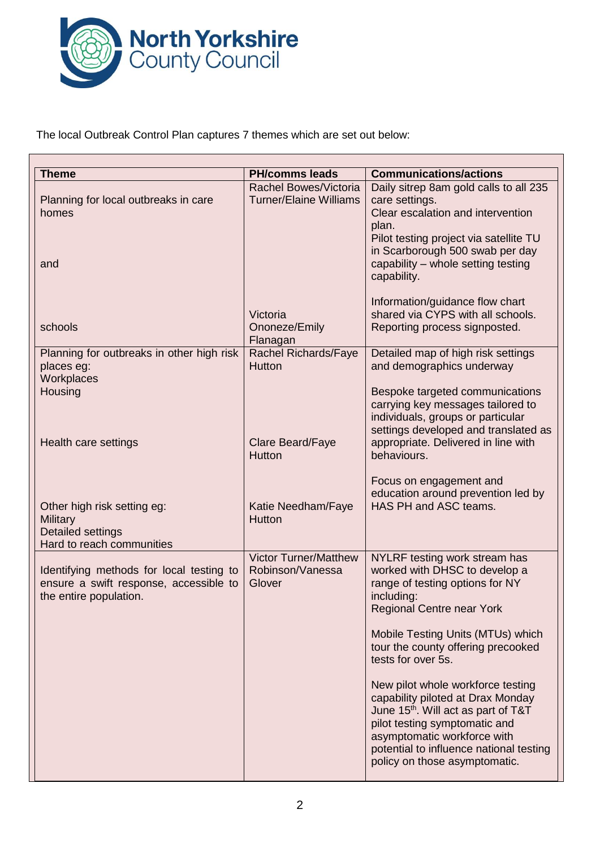

The local Outbreak Control Plan captures 7 themes which are set out below:

| <b>Theme</b>                                                                                                 | <b>PH/comms leads</b>                                         | <b>Communications/actions</b>                                                                                                                                                                                                                                         |
|--------------------------------------------------------------------------------------------------------------|---------------------------------------------------------------|-----------------------------------------------------------------------------------------------------------------------------------------------------------------------------------------------------------------------------------------------------------------------|
| Planning for local outbreaks in care<br>homes                                                                | <b>Rachel Bowes/Victoria</b><br><b>Turner/Elaine Williams</b> | Daily sitrep 8am gold calls to all 235<br>care settings.<br>Clear escalation and intervention                                                                                                                                                                         |
| and                                                                                                          |                                                               | plan.<br>Pilot testing project via satellite TU<br>in Scarborough 500 swab per day<br>capability - whole setting testing<br>capability.                                                                                                                               |
| schools                                                                                                      | Victoria<br>Ononeze/Emily<br>Flanagan                         | Information/guidance flow chart<br>shared via CYPS with all schools.<br>Reporting process signposted.                                                                                                                                                                 |
| Planning for outbreaks in other high risk<br>places eg:<br>Workplaces                                        | Rachel Richards/Faye<br><b>Hutton</b>                         | Detailed map of high risk settings<br>and demographics underway                                                                                                                                                                                                       |
| Housing<br>Health care settings                                                                              | Clare Beard/Faye<br><b>Hutton</b>                             | Bespoke targeted communications<br>carrying key messages tailored to<br>individuals, groups or particular<br>settings developed and translated as<br>appropriate. Delivered in line with                                                                              |
| Other high risk setting eg:<br><b>Military</b><br><b>Detailed settings</b><br>Hard to reach communities      | Katie Needham/Faye<br><b>Hutton</b>                           | behaviours.<br>Focus on engagement and<br>education around prevention led by<br>HAS PH and ASC teams.                                                                                                                                                                 |
| Identifying methods for local testing to<br>ensure a swift response, accessible to<br>the entire population. | <b>Victor Turner/Matthew</b><br>Robinson/Vanessa<br>Glover    | NYLRF testing work stream has<br>worked with DHSC to develop a<br>range of testing options for NY<br>including:<br><b>Regional Centre near York</b>                                                                                                                   |
|                                                                                                              |                                                               | Mobile Testing Units (MTUs) which<br>tour the county offering precooked<br>tests for over 5s.                                                                                                                                                                         |
|                                                                                                              |                                                               | New pilot whole workforce testing<br>capability piloted at Drax Monday<br>June 15 <sup>th</sup> . Will act as part of T&T<br>pilot testing symptomatic and<br>asymptomatic workforce with<br>potential to influence national testing<br>policy on those asymptomatic. |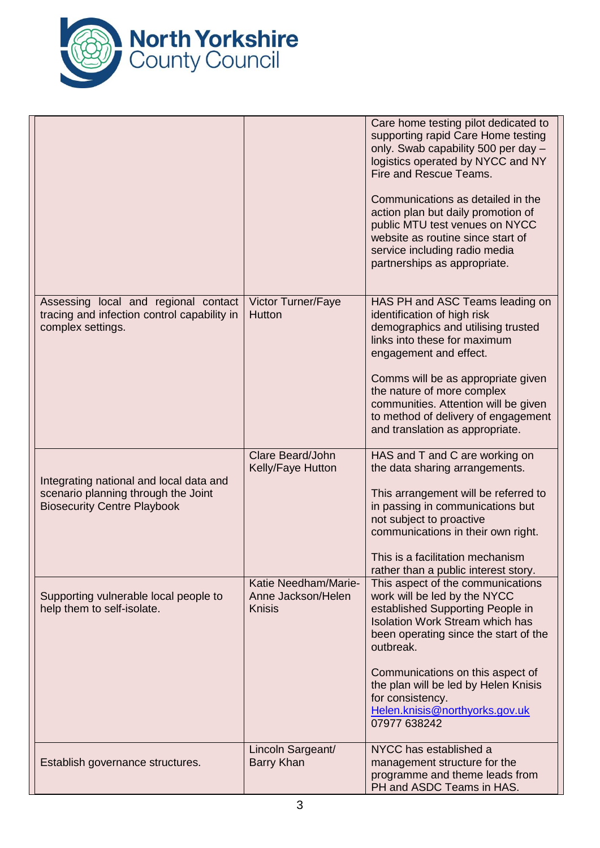

|                                                                                                                      |                                                             | Care home testing pilot dedicated to<br>supporting rapid Care Home testing<br>only. Swab capability 500 per day -<br>logistics operated by NYCC and NY<br>Fire and Rescue Teams.<br>Communications as detailed in the<br>action plan but daily promotion of<br>public MTU test venues on NYCC<br>website as routine since start of<br>service including radio media<br>partnerships as appropriate. |
|----------------------------------------------------------------------------------------------------------------------|-------------------------------------------------------------|-----------------------------------------------------------------------------------------------------------------------------------------------------------------------------------------------------------------------------------------------------------------------------------------------------------------------------------------------------------------------------------------------------|
| Assessing local and regional contact<br>tracing and infection control capability in<br>complex settings.             | Victor Turner/Faye<br>Hutton                                | HAS PH and ASC Teams leading on<br>identification of high risk<br>demographics and utilising trusted<br>links into these for maximum<br>engagement and effect.<br>Comms will be as appropriate given<br>the nature of more complex<br>communities. Attention will be given<br>to method of delivery of engagement<br>and translation as appropriate.                                                |
| Integrating national and local data and<br>scenario planning through the Joint<br><b>Biosecurity Centre Playbook</b> | Clare Beard/John<br>Kelly/Faye Hutton                       | HAS and T and C are working on<br>the data sharing arrangements.<br>This arrangement will be referred to<br>in passing in communications but<br>not subject to proactive<br>communications in their own right.<br>This is a facilitation mechanism<br>rather than a public interest story.                                                                                                          |
| Supporting vulnerable local people to<br>help them to self-isolate.                                                  | Katie Needham/Marie-<br>Anne Jackson/Helen<br><b>Knisis</b> | This aspect of the communications<br>work will be led by the NYCC<br>established Supporting People in<br><b>Isolation Work Stream which has</b><br>been operating since the start of the<br>outbreak.<br>Communications on this aspect of<br>the plan will be led by Helen Knisis<br>for consistency.<br>Helen.knisis@northyorks.gov.uk<br>07977 638242                                             |
| Establish governance structures.                                                                                     | Lincoln Sargeant/<br>Barry Khan                             | NYCC has established a<br>management structure for the<br>programme and theme leads from<br>PH and ASDC Teams in HAS.                                                                                                                                                                                                                                                                               |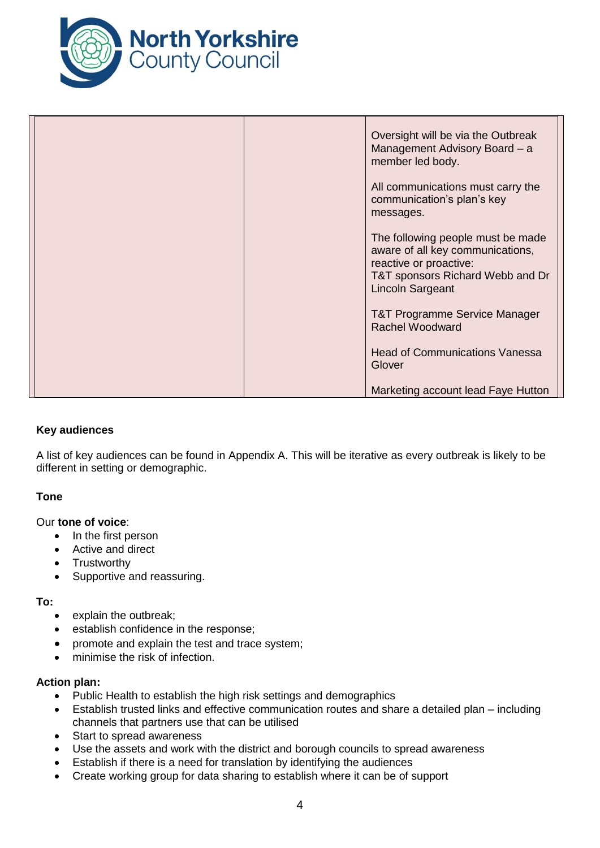

| Oversight will be via the Outbreak<br>Management Advisory Board - a<br>member led body.                                                                 |  |
|---------------------------------------------------------------------------------------------------------------------------------------------------------|--|
| All communications must carry the<br>communication's plan's key<br>messages.                                                                            |  |
| The following people must be made<br>aware of all key communications,<br>reactive or proactive:<br>T&T sponsors Richard Webb and Dr<br>Lincoln Sargeant |  |
| <b>T&amp;T Programme Service Manager</b><br><b>Rachel Woodward</b>                                                                                      |  |
| <b>Head of Communications Vanessa</b><br>Glover                                                                                                         |  |
| Marketing account lead Faye Hutton                                                                                                                      |  |

## **Key audiences**

A list of key audiences can be found in Appendix A. This will be iterative as every outbreak is likely to be different in setting or demographic.

## **Tone**

## Our **tone of voice**:

- In the first person
- Active and direct
- Trustworthy
- Supportive and reassuring.

#### **To:**

- explain the outbreak;
- establish confidence in the response;
- promote and explain the test and trace system;
- minimise the risk of infection.

## **Action plan:**

- Public Health to establish the high risk settings and demographics
- Establish trusted links and effective communication routes and share a detailed plan including channels that partners use that can be utilised
- Start to spread awareness
- Use the assets and work with the district and borough councils to spread awareness
- Establish if there is a need for translation by identifying the audiences
- Create working group for data sharing to establish where it can be of support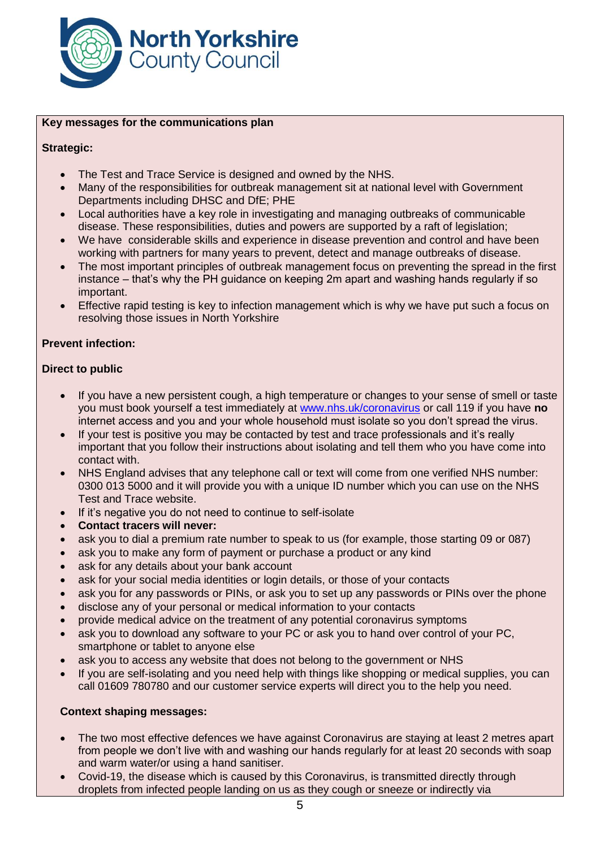

#### **Key messages for the communications plan**

## **Strategic:**

- The Test and Trace Service is designed and owned by the NHS.
- Many of the responsibilities for outbreak management sit at national level with Government Departments including DHSC and DfE; PHE
- Local authorities have a key role in investigating and managing outbreaks of communicable disease. These responsibilities, duties and powers are supported by a raft of legislation;
- We have considerable skills and experience in disease prevention and control and have been working with partners for many years to prevent, detect and manage outbreaks of disease.
- The most important principles of outbreak management focus on preventing the spread in the first instance – that's why the PH guidance on keeping 2m apart and washing hands regularly if so important.
- Effective rapid testing is key to infection management which is why we have put such a focus on resolving those issues in North Yorkshire

## **Prevent infection:**

## **Direct to public**

- If you have a new persistent cough, a high temperature or changes to your sense of smell or taste you must book yourself a test immediately at [www.nhs.uk/coronavirus](http://www.nhs.uk/coronavirus) or call 119 if you have **no** internet access and you and your whole household must isolate so you don't spread the virus.
- If your test is positive you may be contacted by test and trace professionals and it's really important that you follow their instructions about isolating and tell them who you have come into contact with.
- NHS England advises that any telephone call or text will come from one verified NHS number: 0300 013 5000 and it will provide you with a unique ID number which you can use on the NHS Test and Trace website.
- If it's negative you do not need to continue to self-isolate
- **Contact tracers will never:**
- ask you to dial a premium rate number to speak to us (for example, those starting 09 or 087)
- ask you to make any form of payment or purchase a product or any kind
- ask for any details about your bank account
- ask for your social media identities or login details, or those of your contacts
- ask you for any passwords or PINs, or ask you to set up any passwords or PINs over the phone
- disclose any of your personal or medical information to your contacts
- provide medical advice on the treatment of any potential coronavirus symptoms
- ask you to download any software to your PC or ask you to hand over control of your PC, smartphone or tablet to anyone else
- ask you to access any website that does not belong to the government or NHS
- If you are self-isolating and you need help with things like shopping or medical supplies, you can call 01609 780780 and our customer service experts will direct you to the help you need.

## **Context shaping messages:**

- The two most effective defences we have against Coronavirus are staying at least 2 metres apart from people we don't live with and washing our hands regularly for at least 20 seconds with soap and warm water/or using a hand sanitiser.
- Covid-19, the disease which is caused by this Coronavirus, is transmitted directly through droplets from infected people landing on us as they cough or sneeze or indirectly via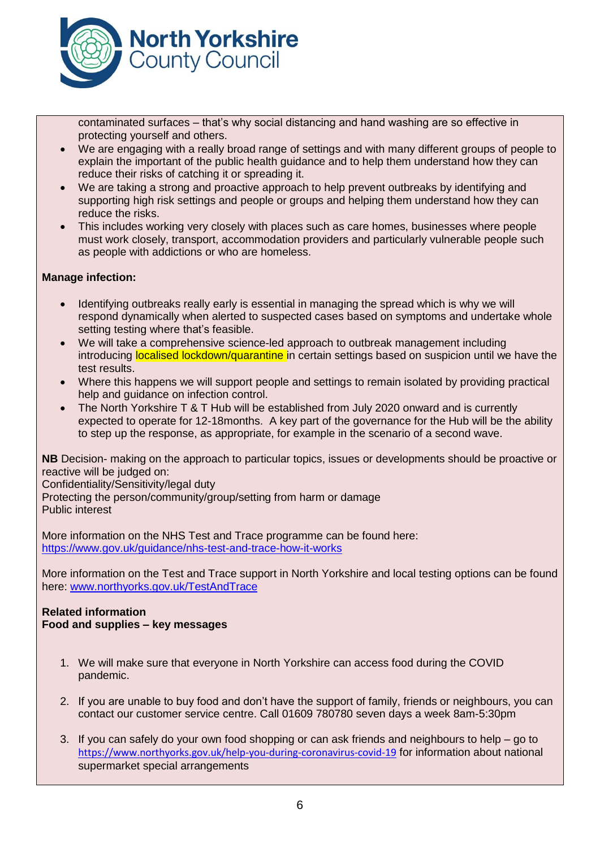

contaminated surfaces – that's why social distancing and hand washing are so effective in protecting yourself and others.

- We are engaging with a really broad range of settings and with many different groups of people to explain the important of the public health guidance and to help them understand how they can reduce their risks of catching it or spreading it.
- We are taking a strong and proactive approach to help prevent outbreaks by identifying and supporting high risk settings and people or groups and helping them understand how they can reduce the risks.
- This includes working very closely with places such as care homes, businesses where people must work closely, transport, accommodation providers and particularly vulnerable people such as people with addictions or who are homeless.

## **Manage infection:**

- Identifying outbreaks really early is essential in managing the spread which is why we will respond dynamically when alerted to suspected cases based on symptoms and undertake whole setting testing where that's feasible.
- We will take a comprehensive science-led approach to outbreak management including introducing **localised lockdown/quarantine** in certain settings based on suspicion until we have the test results.
- Where this happens we will support people and settings to remain isolated by providing practical help and guidance on infection control.
- The North Yorkshire T & T Hub will be established from July 2020 onward and is currently expected to operate for 12-18months. A key part of the governance for the Hub will be the ability to step up the response, as appropriate, for example in the scenario of a second wave.

**NB** Decision- making on the approach to particular topics, issues or developments should be proactive or reactive will be judged on:

Confidentiality/Sensitivity/legal duty

Protecting the person/community/group/setting from harm or damage Public interest

More information on the NHS Test and Trace programme can be found here: <https://www.gov.uk/guidance/nhs-test-and-trace-how-it-works>

More information on the Test and Trace support in North Yorkshire and local testing options can be found here: [www.northyorks.gov.uk/TestAndTrace](http://www.northyorks.gov.uk/TestAndTrace)

## **Related information Food and supplies – key messages**

- 1. We will make sure that everyone in North Yorkshire can access food during the COVID pandemic.
- 2. If you are unable to buy food and don't have the support of family, friends or neighbours, you can contact our customer service centre. Call 01609 780780 seven days a week 8am-5:30pm
- 3. If you can safely do your own food shopping or can ask friends and neighbours to help go to <https://www.northyorks.gov.uk/help-you-during-coronavirus-covid-19> for information about national supermarket special arrangements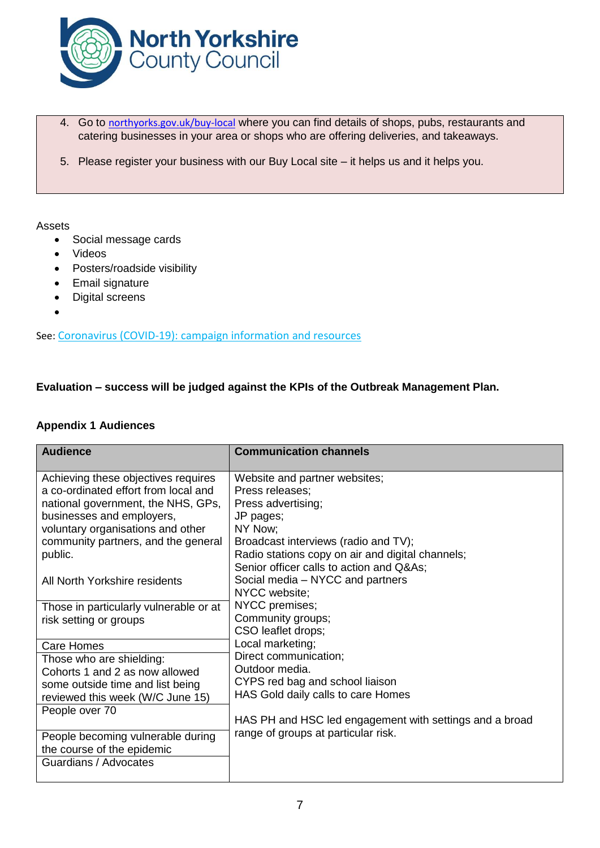

- 4. Go to [northyorks.gov.uk/buy-local](http://www.northyorks.gov.uk/buy-local) where you can find details of shops, pubs, restaurants and catering businesses in your area or shops who are offering deliveries, and takeaways.
- 5. Please register your business with our Buy Local site it helps us and it helps you.

#### Assets

- Social message cards
- Videos
- Posters/roadside visibility
- Email signature
- Digital screens
- $\bullet$

See: [Coronavirus \(COVID-19\): campaign information and resources](https://campaignresources.phe.gov.uk/resources/campaigns/101-coronavirus-)

## **Evaluation – success will be judged against the KPIs of the Outbreak Management Plan.**

#### **Appendix 1 Audiences**

| <b>Audience</b>                        | <b>Communication channels</b>                           |
|----------------------------------------|---------------------------------------------------------|
|                                        |                                                         |
| Achieving these objectives requires    | Website and partner websites;                           |
| a co-ordinated effort from local and   | Press releases;                                         |
| national government, the NHS, GPs,     | Press advertising;                                      |
| businesses and employers,              | JP pages;                                               |
| voluntary organisations and other      | NY Now:                                                 |
| community partners, and the general    | Broadcast interviews (radio and TV);                    |
| public.                                | Radio stations copy on air and digital channels;        |
|                                        | Senior officer calls to action and Q&As                 |
| All North Yorkshire residents          | Social media – NYCC and partners                        |
|                                        | NYCC website;                                           |
| Those in particularly vulnerable or at | NYCC premises;                                          |
| risk setting or groups                 | Community groups;                                       |
|                                        | CSO leaflet drops;                                      |
| Care Homes                             | Local marketing;                                        |
| Those who are shielding:               | Direct communication;                                   |
| Cohorts 1 and 2 as now allowed         | Outdoor media.                                          |
| some outside time and list being       | CYPS red bag and school liaison                         |
| reviewed this week (W/C June 15)       | HAS Gold daily calls to care Homes                      |
| People over 70                         |                                                         |
|                                        | HAS PH and HSC led engagement with settings and a broad |
| People becoming vulnerable during      | range of groups at particular risk.                     |
| the course of the epidemic             |                                                         |
| Guardians / Advocates                  |                                                         |
|                                        |                                                         |